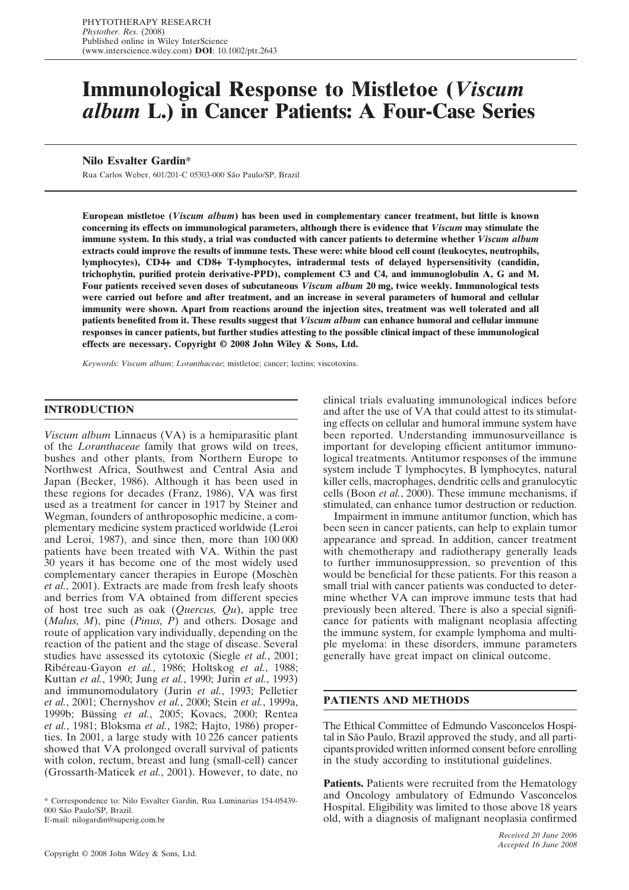# **Immunological Response to Mistletoe (***Viscum album* **L.) in Cancer Patients: A Four-Case Series**

# **Nilo Esvalter Gardin\***

Rua Carlos Weber, 601/201-C 05303-000 São Paulo/SP, Brazil

**European mistletoe (***Viscum album***) has been used in complementary cancer treatment, but little is known concerning its effects on immunological parameters, although there is evidence that** *Viscum* **may stimulate the immune system. In this study, a trial was conducted with cancer patients to determine whether** *Viscum album* **extracts could improve the results of immune tests. These were: white blood cell count (leukocytes, neutrophils, lymphocytes), CD4**+ **and CD8**+ **T-lymphocytes, intradermal tests of delayed hypersensitivity (candidin, trichophytin, purified protein derivative-PPD), complement C3 and C4, and immunoglobulin A, G and M. Four patients received seven doses of subcutaneous** *Viscum album* **20 mg, twice weekly. Immunological tests were carried out before and after treatment, and an increase in several parameters of humoral and cellular immunity were shown. Apart from reactions around the injection sites, treatment was well tolerated and all patients benefited from it. These results suggest that** *Viscum album* **can enhance humoral and cellular immune responses in cancer patients, but further studies attesting to the possible clinical impact of these immunological effects are necessary. Copyright © 2008 John Wiley & Sons, Ltd.**

*Keywords: Viscum album*; *Loranthaceae*; mistletoe; cancer; lectins; viscotoxins.

## **INTRODUCTION**

*Viscum album* Linnaeus (VA) is a hemiparasitic plant of the *Loranthaceae* family that grows wild on trees, bushes and other plants, from Northern Europe to Northwest Africa, Southwest and Central Asia and Japan (Becker, 1986). Although it has been used in these regions for decades (Franz, 1986), VA was first used as a treatment for cancer in 1917 by Steiner and Wegman, founders of anthroposophic medicine, a complementary medicine system practiced worldwide (Leroi and Leroi, 1987), and since then, more than 100 000 patients have been treated with VA. Within the past 30 years it has become one of the most widely used complementary cancer therapies in Europe (Moschèn *et al.*, 2001). Extracts are made from fresh leafy shoots and berries from VA obtained from different species of host tree such as oak (*Quercus, Qu*), apple tree (*Malus, M*), pine (*Pinus, P*) and others. Dosage and route of application vary individually, depending on the reaction of the patient and the stage of disease. Several studies have assessed its cytotoxic (Siegle *et al.*, 2001; Ribéreau-Gayon *et al.*, 1986; Holtskog *et al.*, 1988; Kuttan *et al.*, 1990; Jung *et al.*, 1990; Jurin *et al.*, 1993) and immunomodulatory (Jurin *et al.*, 1993; Pelletier *et al.*, 2001; Chernyshov *et al.*, 2000; Stein *et al.*, 1999a, 1999b; Büssing *et al.*, 2005; Kovacs, 2000; Rentea *et al.*, 1981; Bloksma *et al.*, 1982; Hajto, 1986) properties. In 2001, a large study with 10 226 cancer patients showed that VA prolonged overall survival of patients with colon, rectum, breast and lung (small-cell) cancer (Grossarth-Maticek *et al.*, 2001). However, to date, no

\* Correspondence to: Nilo Esvalter Gardin, Rua Luminarias 154-05439- 000 São Paulo/SP, Brazil.

E-mail: nilogardin@superig.com.br

clinical trials evaluating immunological indices before and after the use of VA that could attest to its stimulating effects on cellular and humoral immune system have been reported. Understanding immunosurveillance is important for developing efficient antitumor immunological treatments. Antitumor responses of the immune system include T lymphocytes, B lymphocytes, natural killer cells, macrophages, dendritic cells and granulocytic cells (Boon *et al.*, 2000). These immune mechanisms, if stimulated, can enhance tumor destruction or reduction.

Impairment in immune antitumor function, which has been seen in cancer patients, can help to explain tumor appearance and spread. In addition, cancer treatment with chemotherapy and radiotherapy generally leads to further immunosuppression, so prevention of this would be beneficial for these patients. For this reason a small trial with cancer patients was conducted to determine whether VA can improve immune tests that had previously been altered. There is also a special significance for patients with malignant neoplasia affecting the immune system, for example lymphoma and multiple myeloma: in these disorders, immune parameters generally have great impact on clinical outcome.

#### **PATIENTS AND METHODS**

The Ethical Committee of Edmundo Vasconcelos Hospital in São Paulo, Brazil approved the study, and all participants provided written informed consent before enrolling in the study according to institutional guidelines.

Patients. Patients were recruited from the Hematology and Oncology ambulatory of Edmundo Vasconcelos Hospital. Eligibility was limited to those above 18 years old, with a diagnosis of malignant neoplasia confirmed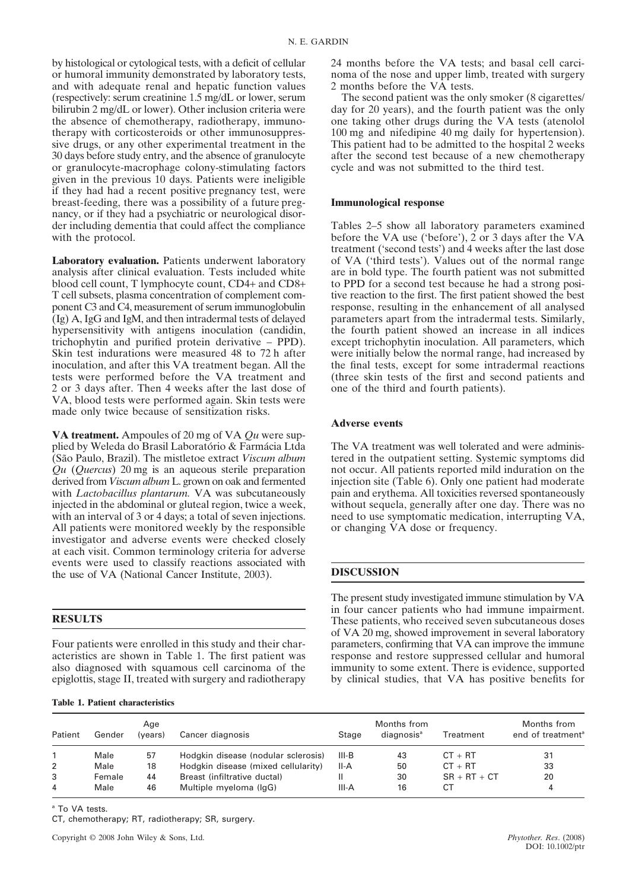by histological or cytological tests, with a deficit of cellular or humoral immunity demonstrated by laboratory tests, and with adequate renal and hepatic function values (respectively: serum creatinine 1.5 mg/dL or lower, serum bilirubin 2 mg/dL or lower). Other inclusion criteria were the absence of chemotherapy, radiotherapy, immunotherapy with corticosteroids or other immunosuppressive drugs, or any other experimental treatment in the 30 days before study entry, and the absence of granulocyte or granulocyte-macrophage colony-stimulating factors given in the previous 10 days. Patients were ineligible if they had had a recent positive pregnancy test, were breast-feeding, there was a possibility of a future pregnancy, or if they had a psychiatric or neurological disorder including dementia that could affect the compliance with the protocol.

**Laboratory evaluation.** Patients underwent laboratory analysis after clinical evaluation. Tests included white blood cell count, T lymphocyte count, CD4+ and CD8+ T cell subsets, plasma concentration of complement component C3 and C4, measurement of serum immunoglobulin (Ig) A, IgG and IgM, and then intradermal tests of delayed hypersensitivity with antigens inoculation (candidin, trichophytin and purified protein derivative – PPD). Skin test indurations were measured 48 to 72 h after inoculation, and after this VA treatment began. All the tests were performed before the VA treatment and 2 or 3 days after. Then 4 weeks after the last dose of VA, blood tests were performed again. Skin tests were made only twice because of sensitization risks.

**VA treatment.** Ampoules of 20 mg of VA *Qu* were supplied by Weleda do Brasil Laboratório & Farmácia Ltda (São Paulo, Brazil). The mistletoe extract *Viscum album Qu* (*Quercus*) 20 mg is an aqueous sterile preparation derived from *Viscum album* L. grown on oak and fermented with *Lactobacillus plantarum.* VA was subcutaneously injected in the abdominal or gluteal region, twice a week, with an interval of 3 or 4 days; a total of seven injections. All patients were monitored weekly by the responsible investigator and adverse events were checked closely at each visit. Common terminology criteria for adverse events were used to classify reactions associated with the use of VA (National Cancer Institute, 2003).

# **RESULTS**

Four patients were enrolled in this study and their characteristics are shown in Table 1. The first patient was also diagnosed with squamous cell carcinoma of the epiglottis, stage II, treated with surgery and radiotherapy

| <b>Table 1. Patient characteristics</b> |  |
|-----------------------------------------|--|
|-----------------------------------------|--|

24 months before the VA tests; and basal cell carcinoma of the nose and upper limb, treated with surgery 2 months before the VA tests.

The second patient was the only smoker (8 cigarettes/ day for 20 years), and the fourth patient was the only one taking other drugs during the VA tests (atenolol 100 mg and nifedipine 40 mg daily for hypertension). This patient had to be admitted to the hospital 2 weeks after the second test because of a new chemotherapy cycle and was not submitted to the third test.

### **Immunological response**

Tables 2–5 show all laboratory parameters examined before the VA use ('before'), 2 or 3 days after the VA treatment ('second tests') and 4 weeks after the last dose of VA ('third tests'). Values out of the normal range are in bold type. The fourth patient was not submitted to PPD for a second test because he had a strong positive reaction to the first. The first patient showed the best response, resulting in the enhancement of all analysed parameters apart from the intradermal tests. Similarly, the fourth patient showed an increase in all indices except trichophytin inoculation. All parameters, which were initially below the normal range, had increased by the final tests, except for some intradermal reactions (three skin tests of the first and second patients and one of the third and fourth patients).

# **Adverse events**

The VA treatment was well tolerated and were administered in the outpatient setting. Systemic symptoms did not occur. All patients reported mild induration on the injection site (Table 6). Only one patient had moderate pain and erythema. All toxicities reversed spontaneously without sequela, generally after one day. There was no need to use symptomatic medication, interrupting VA, or changing VA dose or frequency.

# **DISCUSSION**

The present study investigated immune stimulation by VA in four cancer patients who had immune impairment. These patients, who received seven subcutaneous doses of VA 20 mg, showed improvement in several laboratory parameters, confirming that VA can improve the immune response and restore suppressed cellular and humoral immunity to some extent. There is evidence, supported by clinical studies, that VA has positive benefits for

| Patient        | Gender | Age<br>(years) | Cancer diagnosis                    | Stage | Months from<br>diagnosis <sup>a</sup> | Treatment      | Months from<br>end of treatment <sup>a</sup> |
|----------------|--------|----------------|-------------------------------------|-------|---------------------------------------|----------------|----------------------------------------------|
|                | Male   | 57             | Hodgkin disease (nodular sclerosis) | III-B | 43                                    | $CT + RT$      | 31                                           |
| $\overline{2}$ | Male   | 18             | Hodgkin disease (mixed cellularity) | II-A  | 50                                    | $CT + RT$      | 33                                           |
| 3              | Female | 44             | Breast (infiltrative ductal)        | Ш     | 30                                    | $SR + RT + CT$ | 20                                           |
| 4              | Male   | 46             | Multiple myeloma (IgG)              | III-A | 16                                    | СT             | 4                                            |

a To VA tests.

CT, chemotherapy; RT, radiotherapy; SR, surgery.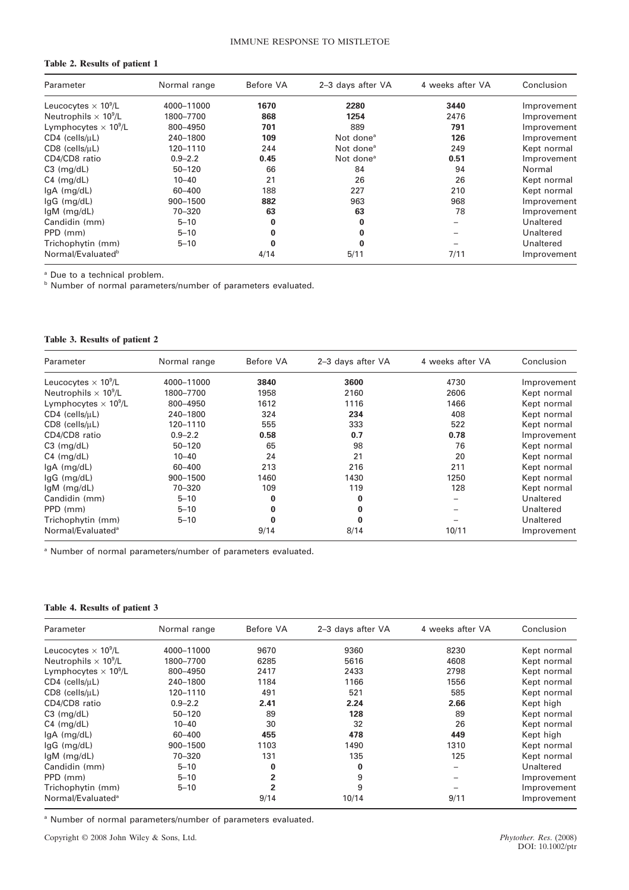# **Table 2. Results of patient 1**

| Parameter                               | Normal range | Before VA | 2-3 days after VA     | 4 weeks after VA | Conclusion  |
|-----------------------------------------|--------------|-----------|-----------------------|------------------|-------------|
| Leucocytes $\times$ 10 <sup>9</sup> /L  | 4000-11000   | 1670      | 2280                  | 3440             | Improvement |
| Neutrophils $\times$ 10 <sup>9</sup> /L | 1800-7700    | 868       | 1254                  | 2476             | Improvement |
| Lymphocytes $\times$ 10 <sup>9</sup> /L | 800-4950     | 701       | 889                   | 791              | Improvement |
| $CD4$ (cells/ $\mu$ L)                  | 240-1800     | 109       | Not done <sup>a</sup> | 126              | Improvement |
| $CDS$ (cells/ $\mu L$ )                 | 120-1110     | 244       | Not done <sup>a</sup> | 249              | Kept normal |
| CD4/CD8 ratio                           | $0.9 - 2.2$  | 0.45      | Not done <sup>a</sup> | 0.51             | Improvement |
| $C3$ (mg/dL)                            | $50 - 120$   | 66        | 84                    | 94               | Normal      |
| $C4$ (mg/dL)                            | $10 - 40$    | 21        | 26                    | 26               | Kept normal |
| $IqA$ (mg/dL)                           | $60 - 400$   | 188       | 227                   | 210              | Kept normal |
| $lgG$ (mg/dL)                           | 900-1500     | 882       | 963                   | 968              | Improvement |
| $lgM$ (mg/dL)                           | 70-320       | 63        | 63                    | 78               | Improvement |
| Candidin (mm)                           | $5 - 10$     | 0         | 0                     |                  | Unaltered   |
| PPD (mm)                                | $5 - 10$     | 0         | 0                     |                  | Unaltered   |
| Trichophytin (mm)                       | $5 - 10$     | 0         | 0                     |                  | Unaltered   |
| Normal/Evaluated <sup>b</sup>           |              | 4/14      | 5/11                  | 7/11             | Improvement |

<sup>a</sup> Due to a technical problem.

**b** Number of normal parameters/number of parameters evaluated.

## **Table 3. Results of patient 2**

| Parameter                               | Normal range | Before VA | 2-3 days after VA | 4 weeks after VA | Conclusion  |
|-----------------------------------------|--------------|-----------|-------------------|------------------|-------------|
| Leucocytes $\times$ 10 <sup>9</sup> /L  | 4000-11000   | 3840      | 3600              | 4730             | Improvement |
| Neutrophils $\times$ 10 <sup>9</sup> /L | 1800-7700    | 1958      | 2160              | 2606             | Kept normal |
| Lymphocytes $\times$ 10 <sup>9</sup> /L | 800-4950     | 1612      | 1116              | 1466             | Kept normal |
| $CD4$ (cells/ $\mu$ L)                  | 240-1800     | 324       | 234               | 408              | Kept normal |
| $CDS$ (cells/ $\mu L$ )                 | 120-1110     | 555       | 333               | 522              | Kept normal |
| CD4/CD8 ratio                           | $0.9 - 2.2$  | 0.58      | 0.7               | 0.78             | Improvement |
| $C3$ (mg/dL)                            | $50 - 120$   | 65        | 98                | 76               | Kept normal |
| $C4$ (mg/dL)                            | $10 - 40$    | 24        | 21                | 20               | Kept normal |
| $lgA$ (mg/dL)                           | 60-400       | 213       | 216               | 211              | Kept normal |
| $lgG$ (mg/dL)                           | 900-1500     | 1460      | 1430              | 1250             | Kept normal |
| $lgM$ (mg/dL)                           | 70-320       | 109       | 119               | 128              | Kept normal |
| Candidin (mm)                           | $5 - 10$     | 0         | $\bf{0}$          |                  | Unaltered   |
| PPD (mm)                                | $5 - 10$     | 0         | 0                 |                  | Unaltered   |
| Trichophytin (mm)                       | $5 - 10$     | 0         | $\bf{0}$          |                  | Unaltered   |
| Normal/Evaluated <sup>a</sup>           |              | 9/14      | 8/14              | 10/11            | Improvement |

<sup>a</sup> Number of normal parameters/number of parameters evaluated.

#### **Table 4. Results of patient 3**

| Parameter                               | Normal range | Before VA      | 2-3 days after VA | 4 weeks after VA | Conclusion  |
|-----------------------------------------|--------------|----------------|-------------------|------------------|-------------|
| Leucocytes $\times$ 10 <sup>9</sup> /L  | 4000-11000   | 9670           | 9360              | 8230             | Kept normal |
| Neutrophils $\times$ 10 <sup>9</sup> /L | 1800-7700    | 6285           | 5616              | 4608             | Kept normal |
| Lymphocytes $\times$ 10 <sup>9</sup> /L | 800-4950     | 2417           | 2433              | 2798             | Kept normal |
| $CD4$ (cells/ $\mu$ L)                  | 240-1800     | 1184           | 1166              | 1556             | Kept normal |
| $CDS$ (cells/ $\mu L$ )                 | 120-1110     | 491            | 521               | 585              | Kept normal |
| CD4/CD8 ratio                           | $0.9 - 2.2$  | 2.41           | 2.24              | 2.66             | Kept high   |
| $C3$ (mg/dL)                            | $50 - 120$   | 89             | 128               | 89               | Kept normal |
| $C4$ (mg/dL)                            | $10 - 40$    | 30             | 32                | 26               | Kept normal |
| $IqA$ (mg/dL)                           | 60-400       | 455            | 478               | 449              | Kept high   |
| $lgG$ (mg/dL)                           | 900-1500     | 1103           | 1490              | 1310             | Kept normal |
| $lgM$ (mg/dL)                           | 70-320       | 131            | 135               | 125              | Kept normal |
| Candidin (mm)                           | $5 - 10$     | 0              | 0                 |                  | Unaltered   |
| PPD (mm)                                | $5 - 10$     | $\overline{2}$ | 9                 |                  | Improvement |
| Trichophytin (mm)                       | $5 - 10$     | $\mathbf{z}$   | 9                 |                  | Improvement |
| Normal/Evaluated <sup>a</sup>           |              | 9/14           | 10/14             | 9/11             | Improvement |

<sup>a</sup> Number of normal parameters/number of parameters evaluated.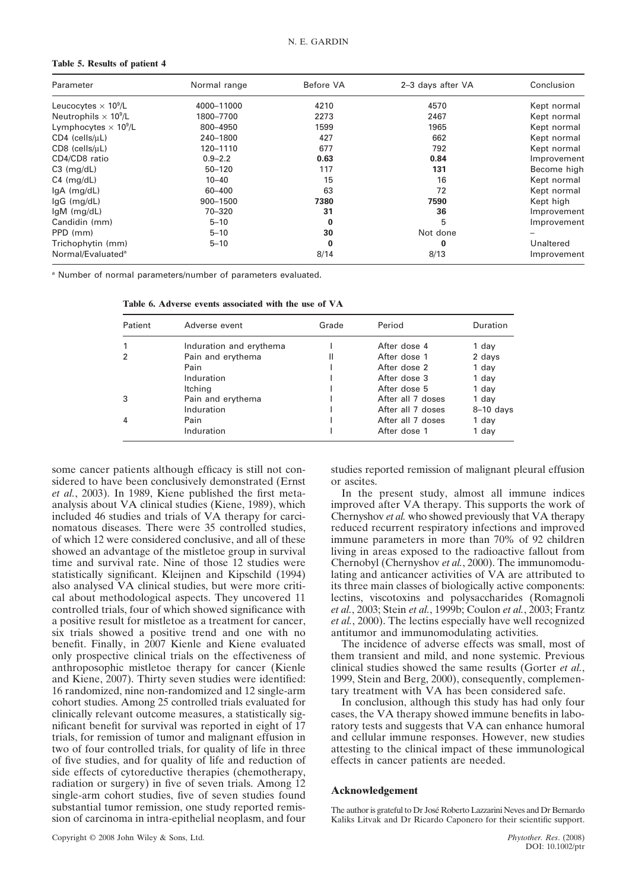#### **Table 5. Results of patient 4**

| Parameter                               | Normal range | Before VA | 2-3 days after VA | Conclusion  |
|-----------------------------------------|--------------|-----------|-------------------|-------------|
| Leucocytes $\times$ 10 <sup>9</sup> /L  | 4000-11000   | 4210      | 4570              | Kept normal |
| Neutrophils $\times$ 10 <sup>9</sup> /L | 1800-7700    | 2273      | 2467              | Kept normal |
| Lymphocytes $\times 10^9$ /L            | 800-4950     | 1599      | 1965              | Kept normal |
| $CD4$ (cells/ $\mu$ L)                  | 240-1800     | 427       | 662               | Kept normal |
| $CDS$ (cells/ $\mu L$ )                 | 120-1110     | 677       | 792               | Kept normal |
| CD4/CD8 ratio                           | $0.9 - 2.2$  | 0.63      | 0.84              | Improvement |
| $C3$ (mg/dL)                            | $50 - 120$   | 117       | 131               | Become high |
| $C4 \ (mg/dL)$                          | $10 - 40$    | 15        | 16                | Kept normal |
| $lgA$ (mg/dL)                           | 60-400       | 63        | 72                | Kept normal |
| $lgG$ (mg/dL)                           | 900-1500     | 7380      | 7590              | Kept high   |
| $lgM$ (mg/dL)                           | 70-320       | 31        | 36                | Improvement |
| Candidin (mm)                           | $5 - 10$     | 0         | 5                 | Improvement |
| PPD (mm)                                | $5 - 10$     | 30        | Not done          |             |
| Trichophytin (mm)                       | $5 - 10$     | $\bf{0}$  | $\bf{0}$          | Unaltered   |
| Normal/Evaluated <sup>a</sup>           |              | 8/14      | 8/13              | Improvement |

<sup>a</sup> Number of normal parameters/number of parameters evaluated.

**Table 6. Adverse events associated with the use of VA**

| Patient | Adverse event           | Grade | Period            | Duration    |
|---------|-------------------------|-------|-------------------|-------------|
|         | Induration and erythema |       | After dose 4      | 1 day       |
|         | Pain and erythema       | Ш     | After dose 1      | 2 days      |
|         | Pain                    |       | After dose 2      | 1 day       |
|         | Induration              |       | After dose 3      | 1 day       |
|         | Itching                 |       | After dose 5      | 1 day       |
|         | Pain and erythema       |       | After all 7 doses | 1 day       |
|         | Induration              |       | After all 7 doses | $8-10$ days |
| 4       | Pain                    |       | After all 7 doses | 1 day       |
|         | Induration              |       | After dose 1      | 1 day       |

some cancer patients although efficacy is still not considered to have been conclusively demonstrated (Ernst *et al.*, 2003). In 1989, Kiene published the first metaanalysis about VA clinical studies (Kiene, 1989), which included 46 studies and trials of VA therapy for carcinomatous diseases. There were 35 controlled studies, of which 12 were considered conclusive, and all of these showed an advantage of the mistletoe group in survival time and survival rate. Nine of those 12 studies were statistically significant. Kleijnen and Kipschild (1994) also analysed VA clinical studies, but were more critical about methodological aspects. They uncovered 11 controlled trials, four of which showed significance with a positive result for mistletoe as a treatment for cancer, six trials showed a positive trend and one with no benefit. Finally, in 2007 Kienle and Kiene evaluated only prospective clinical trials on the effectiveness of anthroposophic mistletoe therapy for cancer (Kienle and Kiene, 2007). Thirty seven studies were identified: 16 randomized, nine non-randomized and 12 single-arm cohort studies. Among 25 controlled trials evaluated for clinically relevant outcome measures, a statistically significant benefit for survival was reported in eight of 17 trials, for remission of tumor and malignant effusion in two of four controlled trials, for quality of life in three of five studies, and for quality of life and reduction of side effects of cytoreductive therapies (chemotherapy, radiation or surgery) in five of seven trials. Among 12 single-arm cohort studies, five of seven studies found substantial tumor remission, one study reported remission of carcinoma in intra-epithelial neoplasm, and four

studies reported remission of malignant pleural effusion or ascites.

In the present study, almost all immune indices improved after VA therapy. This supports the work of Chernyshov *et al.* who showed previously that VA therapy reduced recurrent respiratory infections and improved immune parameters in more than 70% of 92 children living in areas exposed to the radioactive fallout from Chernobyl (Chernyshov *et al.*, 2000). The immunomodulating and anticancer activities of VA are attributed to its three main classes of biologically active components: lectins, viscotoxins and polysaccharides (Romagnoli *et al.*, 2003; Stein *et al.*, 1999b; Coulon *et al.*, 2003; Frantz *et al.*, 2000). The lectins especially have well recognized antitumor and immunomodulating activities.

The incidence of adverse effects was small, most of them transient and mild, and none systemic. Previous clinical studies showed the same results (Gorter *et al.*, 1999, Stein and Berg, 2000), consequently, complementary treatment with VA has been considered safe.

In conclusion, although this study has had only four cases, the VA therapy showed immune benefits in laboratory tests and suggests that VA can enhance humoral and cellular immune responses. However, new studies attesting to the clinical impact of these immunological effects in cancer patients are needed.

#### **Acknowledgement**

The author is grateful to Dr José Roberto Lazzarini Neves and Dr Bernardo Kaliks Litvak and Dr Ricardo Caponero for their scientific support.